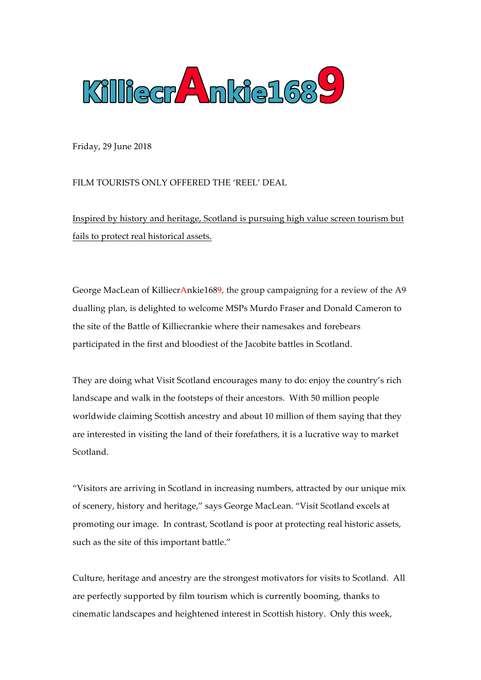

Friday, 29 June 2018

FILM TOURISTS ONLY OFFERED THE 'REEL' DEAL

Inspired by history and heritage, Scotland is pursuing high value screen tourism but fails to protect real historical assets.

George MacLean of KilliecrAnkie1689, the group campaigning for a review of the A9 dualling plan, is delighted to welcome MSPs Murdo Fraser and Donald Cameron to the site of the Battle of Killiecrankie where their namesakes and forebears participated in the first and bloodiest of the Jacobite battles in Scotland.

They are doing what Visit Scotland encourages many to do: enjoy the country's rich landscape and walk in the footsteps of their ancestors. With 50 million people worldwide claiming Scottish ancestry and about 10 million of them saying that they are interested in visiting the land of their forefathers, it is a lucrative way to market Scotland.

"Visitors are arriving in Scotland in increasing numbers, attracted by our unique mix of scenery, history and heritage," says George MacLean. "Visit Scotland excels at promoting our image. In contrast, Scotland is poor at protecting real historic assets, such as the site of this important battle."

Culture, heritage and ancestry are the strongest motivators for visits to Scotland. All are perfectly supported by film tourism which is currently booming, thanks to cinematic landscapes and heightened interest in Scottish history. Only this week,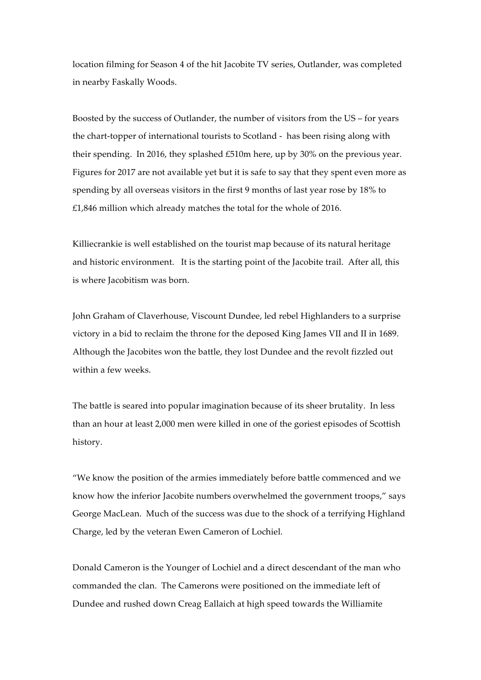location filming for Season 4 of the hit Jacobite TV series, Outlander, was completed in nearby Faskally Woods.

Boosted by the success of Outlander, the number of visitors from the US – for years the chart-topper of international tourists to Scotland - has been rising along with their spending. In 2016, they splashed £510m here, up by 30% on the previous year. Figures for 2017 are not available yet but it is safe to say that they spent even more as spending by all overseas visitors in the first 9 months of last year rose by 18% to £1,846 million which already matches the total for the whole of 2016.

Killiecrankie is well established on the tourist map because of its natural heritage and historic environment. It is the starting point of the Jacobite trail. After all, this is where Jacobitism was born.

John Graham of Claverhouse, Viscount Dundee, led rebel Highlanders to a surprise victory in a bid to reclaim the throne for the deposed King James VII and II in 1689. Although the Jacobites won the battle, they lost Dundee and the revolt fizzled out within a few weeks.

The battle is seared into popular imagination because of its sheer brutality. In less than an hour at least 2,000 men were killed in one of the goriest episodes of Scottish history.

"We know the position of the armies immediately before battle commenced and we know how the inferior Jacobite numbers overwhelmed the government troops," says George MacLean. Much of the success was due to the shock of a terrifying Highland Charge, led by the veteran Ewen Cameron of Lochiel.

Donald Cameron is the Younger of Lochiel and a direct descendant of the man who commanded the clan. The Camerons were positioned on the immediate left of Dundee and rushed down Creag Eallaich at high speed towards the Williamite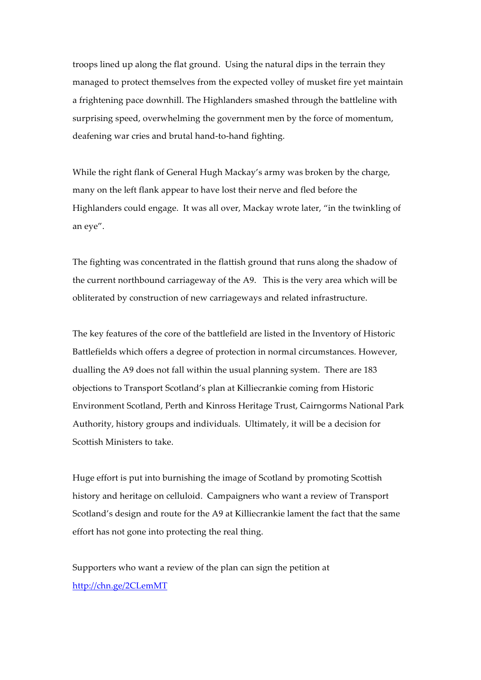troops lined up along the flat ground. Using the natural dips in the terrain they managed to protect themselves from the expected volley of musket fire yet maintain a frightening pace downhill. The Highlanders smashed through the battleline with surprising speed, overwhelming the government men by the force of momentum, deafening war cries and brutal hand-to-hand fighting.

While the right flank of General Hugh Mackay's army was broken by the charge, many on the left flank appear to have lost their nerve and fled before the Highlanders could engage. It was all over, Mackay wrote later, "in the twinkling of an eye".

The fighting was concentrated in the flattish ground that runs along the shadow of the current northbound carriageway of the A9. This is the very area which will be obliterated by construction of new carriageways and related infrastructure.

The key features of the core of the battlefield are listed in the Inventory of Historic Battlefields which offers a degree of protection in normal circumstances. However, dualling the A9 does not fall within the usual planning system. There are 183 objections to Transport Scotland's plan at Killiecrankie coming from Historic Environment Scotland, Perth and Kinross Heritage Trust, Cairngorms National Park Authority, history groups and individuals. Ultimately, it will be a decision for Scottish Ministers to take.

Huge effort is put into burnishing the image of Scotland by promoting Scottish history and heritage on celluloid. Campaigners who want a review of Transport Scotland's design and route for the A9 at Killiecrankie lament the fact that the same effort has not gone into protecting the real thing.

Supporters who want a review of the plan can sign the petition at http://chn.ge/2CLemMT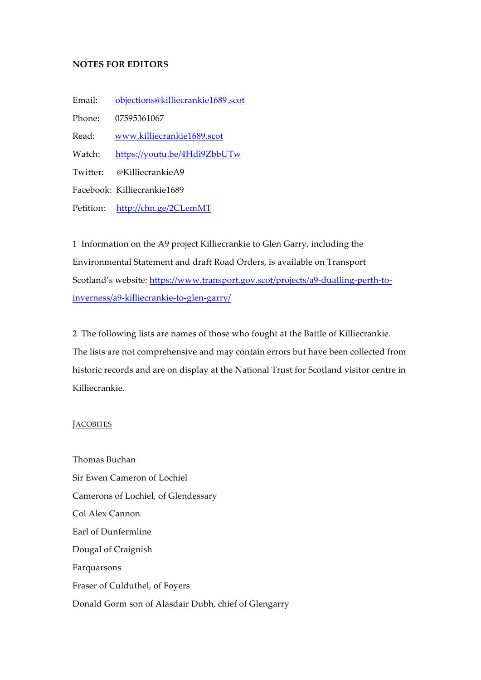### **NOTES FOR EDITORS**

Email: objections@killiecrankie1689.scot

Phone: 07595361067

Read: www.killiecrankie1689.scot

Watch: https://youtu.be/4Hdi9ZbbUTw

Twitter: @KilliecrankieA9

Facebook: Killiecrankie1689

Petition: http://chn.ge/2CLemMT

1 Information on the A9 project Killiecrankie to Glen Garry, including the Environmental Statement and draft Road Orders, is available on Transport Scotland's website: https://www.transport.gov.scot/projects/a9-dualling-perth-toinverness/a9-killiecrankie-to-glen-garry/

2 The following lists are names of those who fought at the Battle of Killiecrankie. The lists are not comprehensive and may contain errors but have been collected from historic records and are on display at the National Trust for Scotland visitor centre in Killiecrankie.

### **JACOBITES**

Thomas Buchan Sir Ewen Cameron of Lochiel Camerons of Lochiel, of Glendessary Col Alex Cannon Earl of Dunfermline Dougal of Craignish Farquarsons Fraser of Culduthel, of Foyers Donald Gorm son of Alasdair Dubh, chief of Glengarry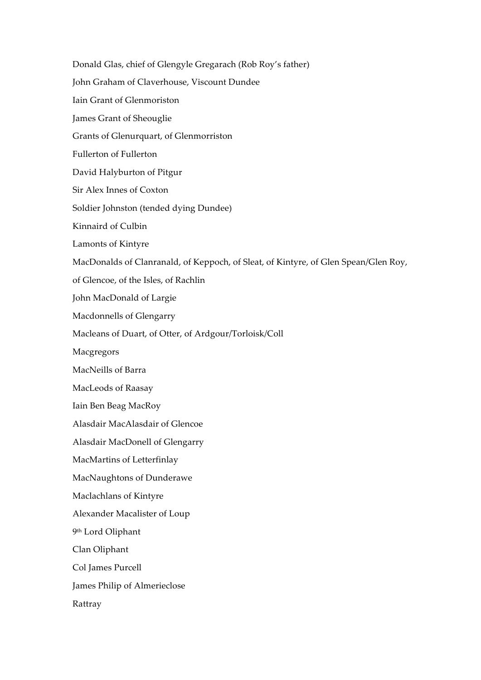Donald Glas, chief of Glengyle Gregarach (Rob Roy's father) John Graham of Claverhouse, Viscount Dundee Iain Grant of Glenmoriston James Grant of Sheouglie Grants of Glenurquart, of Glenmorriston Fullerton of Fullerton David Halyburton of Pitgur Sir Alex Innes of Coxton Soldier Johnston (tended dying Dundee) Kinnaird of Culbin Lamonts of Kintyre MacDonalds of Clanranald, of Keppoch, of Sleat, of Kintyre, of Glen Spean/Glen Roy, of Glencoe, of the Isles, of Rachlin John MacDonald of Largie Macdonnells of Glengarry Macleans of Duart, of Otter, of Ardgour/Torloisk/Coll Macgregors MacNeills of Barra MacLeods of Raasay Iain Ben Beag MacRoy Alasdair MacAlasdair of Glencoe Alasdair MacDonell of Glengarry MacMartins of Letterfinlay MacNaughtons of Dunderawe Maclachlans of Kintyre Alexander Macalister of Loup 9th Lord Oliphant Clan Oliphant Col James Purcell James Philip of Almerieclose Rattray